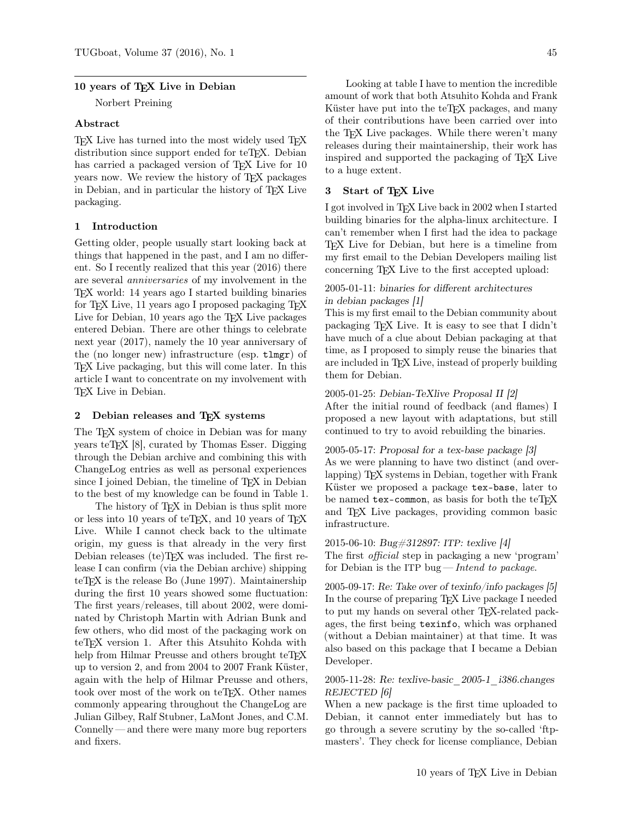### 10 years of TFX Live in Debian

Norbert Preining

### Abstract

TEX Live has turned into the most widely used TEX distribution since support ended for teTFX. Debian has carried a packaged version of TEX Live for 10 years now. We review the history of TEX packages in Debian, and in particular the history of TEX Live packaging.

## 1 Introduction

Getting older, people usually start looking back at things that happened in the past, and I am no different. So I recently realized that this year (2016) there are several anniversaries of my involvement in the TEX world: 14 years ago I started building binaries for TEX Live, 11 years ago I proposed packaging TEX Live for Debian, 10 years ago the T<sub>EX</sub> Live packages entered Debian. There are other things to celebrate next year (2017), namely the 10 year anniversary of the (no longer new) infrastructure (esp. tlmgr) of TEX Live packaging, but this will come later. In this article I want to concentrate on my involvement with T<sub>F</sub>X Live in Debian.

## 2 Debian releases and TEX systems

The T<sub>E</sub>X system of choice in Debian was for many years teTEX [8], curated by Thomas Esser. Digging through the Debian archive and combining this with ChangeLog entries as well as personal experiences since I joined Debian, the timeline of  $T_F X$  in Debian to the best of my knowledge can be found in Table 1.

The history of TEX in Debian is thus split more or less into 10 years of teT<sub>E</sub>X, and 10 years of T<sub>E</sub>X Live. While I cannot check back to the ultimate origin, my guess is that already in the very first Debian releases (te)TEX was included. The first release I can confirm (via the Debian archive) shipping teT<sub>E</sub>X is the release Bo (June 1997). Maintainership during the first 10 years showed some fluctuation: The first years/releases, till about 2002, were dominated by Christoph Martin with Adrian Bunk and few others, who did most of the packaging work on teT<sub>E</sub>X version 1. After this Atsuhito Kohda with help from Hilmar Preusse and others brought teT<sub>E</sub>X up to version 2, and from 2004 to 2007 Frank Küster, again with the help of Hilmar Preusse and others, took over most of the work on teT<sub>F</sub>X. Other names commonly appearing throughout the ChangeLog are Julian Gilbey, Ralf Stubner, LaMont Jones, and C.M. Connelly — and there were many more bug reporters and fixers.

Looking at table I have to mention the incredible amount of work that both Atsuhito Kohda and Frank Küster have put into the teTEX packages, and many of their contributions have been carried over into the TEX Live packages. While there weren't many releases during their maintainership, their work has inspired and supported the packaging of TEX Live to a huge extent.

## 3 Start of T<sub>F</sub>X Live

I got involved in TEX Live back in 2002 when I started building binaries for the alpha-linux architecture. I can't remember when I first had the idea to package TEX Live for Debian, but here is a timeline from my first email to the Debian Developers mailing list concerning TEX Live to the first accepted upload:

# 2005-01-11: binaries for different architectures in debian packages [1]

This is my first email to the Debian community about packaging T<sub>F</sub>X Live. It is easy to see that I didn't have much of a clue about Debian packaging at that time, as I proposed to simply reuse the binaries that are included in TEX Live, instead of properly building them for Debian.

### 2005-01-25: Debian-TeXlive Proposal II [2]

After the initial round of feedback (and flames) I proposed a new layout with adaptations, but still continued to try to avoid rebuilding the binaries.

### 2005-05-17: Proposal for a tex-base package [3]

As we were planning to have two distinct (and overlapping) TEX systems in Debian, together with Frank Küster we proposed a package tex-base, later to be named  $textrm{tex}$  tex-common, as basis for both the  $\text{teTr}X$ and TEX Live packages, providing common basic infrastructure.

#### 2015-06-10: Bug#312897: ITP: texlive [4]

The first official step in packaging a new 'program' for Debian is the ITP bug—Intend to package.

2005-09-17: Re: Take over of texinfo/info packages [5] In the course of preparing TEX Live package I needed to put my hands on several other TEX-related packages, the first being texinfo, which was orphaned (without a Debian maintainer) at that time. It was also based on this package that I became a Debian Developer.

### 2005-11-28: Re: texlive-basic\_2005-1\_i386.changes REJECTED [6]

When a new package is the first time uploaded to Debian, it cannot enter immediately but has to go through a severe scrutiny by the so-called 'ftpmasters'. They check for license compliance, Debian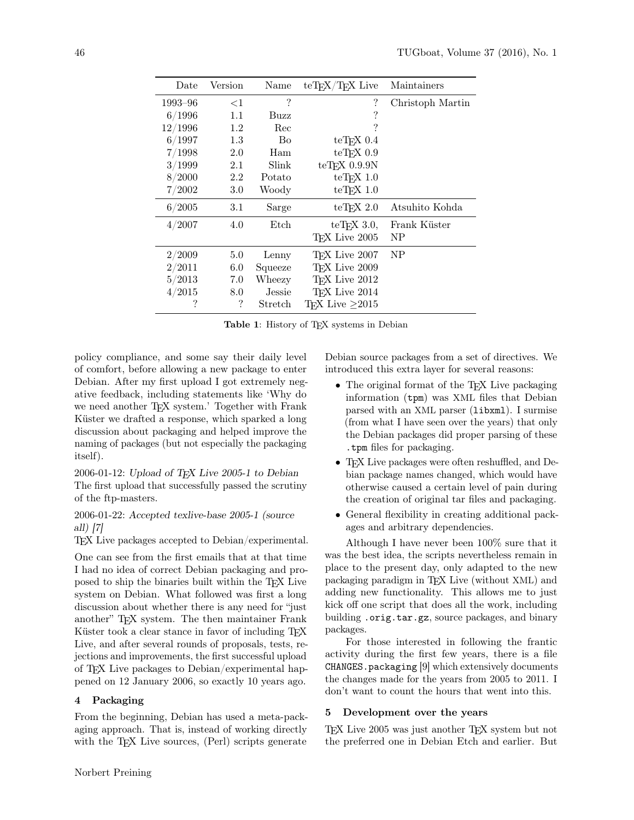| Date    | Version | Name          | $teT$ <sub>F</sub> $X/T$ <sub>F</sub> $X$ Live | Maintainers      |
|---------|---------|---------------|------------------------------------------------|------------------|
| 1993–96 | ${<}1$  | ?             | ?                                              | Christoph Martin |
| 6/1996  | 1.1     | Buzz          | ?                                              |                  |
| 12/1996 | 1.2     | Rec           | ?                                              |                  |
| 6/1997  | 1.3     | Bo            | $teTrX$ 0.4                                    |                  |
| 7/1998  | 2.0     | Ham           | $teT$ <sub>F</sub> $X$ 0.9                     |                  |
| 3/1999  | 2.1     | Slink         | $teT$ <sub>F</sub> $X$ 0.9.9N                  |                  |
| 8/2000  | 2.2     | Potato        | $teTrX$ 1.0                                    |                  |
| 7/2002  | 3.0     | Woody         | $te$ T <sub>F</sub> X 1.0                      |                  |
| 6/2005  | 3.1     | Sarge         | $teT$ <sub>F</sub> X 2.0                       | Atsuhito Kohda   |
| 4/2007  | 4.0     | Etch          | $teTrX$ 3.0,                                   | Frank Küster     |
|         |         |               | TFX Live 2005                                  | NP               |
| 2/2009  | 5.0     | Lenny         | T <sub>F</sub> X Live 2007                     | <b>NP</b>        |
| 2/2011  | 6.0     | Squeeze       | T <sub>F</sub> X Live 2009                     |                  |
| 5/2013  | 7.0     | Wheezy        | T <sub>F</sub> X Live 2012                     |                  |
| 4/2015  | 8.0     | <b>Jessie</b> | T <sub>F</sub> X Live 2014                     |                  |
| ?       | ?       | Stretch       | TFX Live $\geq$ 2015                           |                  |

Table 1: History of TEX systems in Debian

policy compliance, and some say their daily level of comfort, before allowing a new package to enter Debian. After my first upload I got extremely negative feedback, including statements like 'Why do we need another T<sub>F</sub>X system.' Together with Frank Küster we drafted a response, which sparked a long discussion about packaging and helped improve the naming of packages (but not especially the packaging itself).

 $2006-01-12$ : Upload of T<sub>F</sub>X Live  $2005-1$  to Debian The first upload that successfully passed the scrutiny of the ftp-masters.

# 2006-01-22: Accepted texlive-base 2005-1 (source all) [7]

TEX Live packages accepted to Debian/experimental.

One can see from the first emails that at that time I had no idea of correct Debian packaging and proposed to ship the binaries built within the TEX Live system on Debian. What followed was first a long discussion about whether there is any need for "just another" TEX system. The then maintainer Frank Küster took a clear stance in favor of including TEX Live, and after several rounds of proposals, tests, rejections and improvements, the first successful upload of TEX Live packages to Debian/experimental happened on 12 January 2006, so exactly 10 years ago.

# 4 Packaging

From the beginning, Debian has used a meta-packaging approach. That is, instead of working directly with the T<sub>F</sub>X Live sources, (Perl) scripts generate

Debian source packages from a set of directives. We introduced this extra layer for several reasons:

- The original format of the T<sub>F</sub>X Live packaging information (tpm) was XML files that Debian parsed with an XML parser (libxml). I surmise (from what I have seen over the years) that only the Debian packages did proper parsing of these .tpm files for packaging.
- T<sub>F</sub>X Live packages were often reshuffled, and Debian package names changed, which would have otherwise caused a certain level of pain during the creation of original tar files and packaging.
- General flexibility in creating additional packages and arbitrary dependencies.

Although I have never been 100% sure that it was the best idea, the scripts nevertheless remain in place to the present day, only adapted to the new packaging paradigm in TEX Live (without XML) and adding new functionality. This allows me to just kick off one script that does all the work, including building .orig.tar.gz, source packages, and binary packages.

For those interested in following the frantic activity during the first few years, there is a file  $CHANGES$ .packaging  $[9]$  which extensively documents the changes made for the years from 2005 to 2011. I don't want to count the hours that went into this.

# 5 Development over the years

TEX Live 2005 was just another TEX system but not the preferred one in Debian Etch and earlier. But